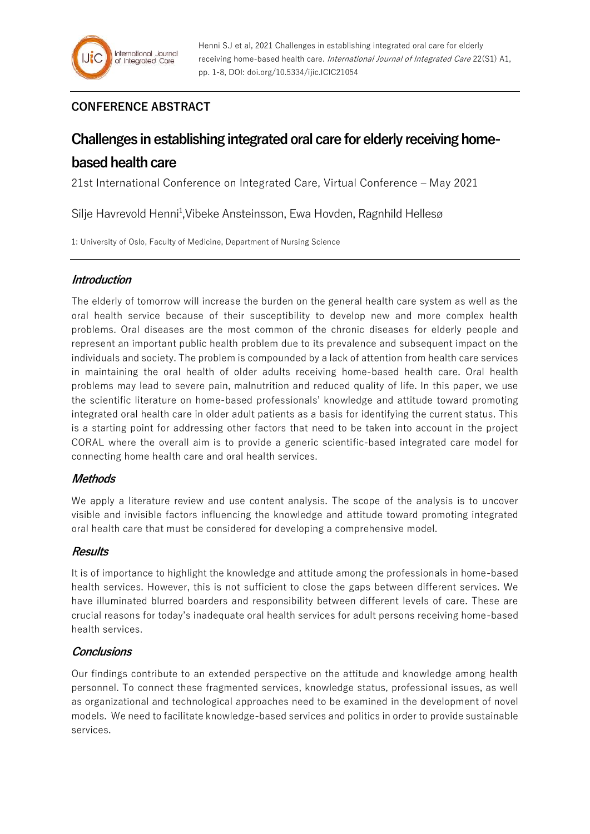# **CONFERENCE ABSTRACT**

# **Challenges in establishing integrated oral care for elderly receiving homebased health care**

21st International Conference on Integrated Care, Virtual Conference – May 2021

Silje Havrevold Henni<sup>1</sup>, Vibeke Ansteinsson, Ewa Hovden, Ragnhild Hellesø

1: University of Oslo, Faculty of Medicine, Department of Nursing Science

# **Introduction**

The elderly of tomorrow will increase the burden on the general health care system as well as the oral health service because of their susceptibility to develop new and more complex health problems. Oral diseases are the most common of the chronic diseases for elderly people and represent an important public health problem due to its prevalence and subsequent impact on the individuals and society. The problem is compounded by a lack of attention from health care services in maintaining the oral health of older adults receiving home-based health care. Oral health problems may lead to severe pain, malnutrition and reduced quality of life. In this paper, we use the scientific literature on home-based professionals' knowledge and attitude toward promoting integrated oral health care in older adult patients as a basis for identifying the current status. This is a starting point for addressing other factors that need to be taken into account in the project CORAL where the overall aim is to provide a generic scientific-based integrated care model for connecting home health care and oral health services.

# **Methods**

We apply a literature review and use content analysis. The scope of the analysis is to uncover visible and invisible factors influencing the knowledge and attitude toward promoting integrated oral health care that must be considered for developing a comprehensive model.

# **Results**

It is of importance to highlight the knowledge and attitude among the professionals in home-based health services. However, this is not sufficient to close the gaps between different services. We have illuminated blurred boarders and responsibility between different levels of care. These are crucial reasons for today's inadequate oral health services for adult persons receiving home-based health services.

# **Conclusions**

Our findings contribute to an extended perspective on the attitude and knowledge among health personnel. To connect these fragmented services, knowledge status, professional issues, as well as organizational and technological approaches need to be examined in the development of novel models. We need to facilitate knowledge-based services and politics in order to provide sustainable services.